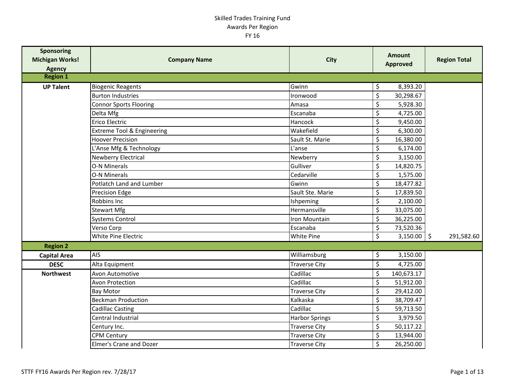| <b>Sponsoring</b><br><b>Michigan Works!</b><br><b>Agency</b> | <b>Company Name</b>           | <b>City</b>           | <b>Amount</b><br><b>Approved</b> |               | <b>Region Total</b> |
|--------------------------------------------------------------|-------------------------------|-----------------------|----------------------------------|---------------|---------------------|
| <b>Region 1</b>                                              |                               |                       |                                  |               |                     |
| <b>UP Talent</b>                                             | <b>Biogenic Reagents</b>      | Gwinn                 | \$<br>8,393.20                   |               |                     |
|                                                              | <b>Burton Industries</b>      | Ironwood              | \$<br>30,298.67                  |               |                     |
|                                                              | <b>Connor Sports Flooring</b> | Amasa                 | \$<br>5,928.30                   |               |                     |
|                                                              | Delta Mfg                     | Escanaba              | \$<br>4,725.00                   |               |                     |
|                                                              | Erico Electric                | Hancock               | \$<br>9,450.00                   |               |                     |
|                                                              | Extreme Tool & Engineering    | Wakefield             | \$<br>6,300.00                   |               |                     |
|                                                              | <b>Hoover Precision</b>       | Sault St. Marie       | \$<br>16,380.00                  |               |                     |
|                                                              | L'Anse Mfg & Technology       | L'anse                | \$<br>6,174.00                   |               |                     |
|                                                              | Newberry Electrical           | Newberry              | \$<br>3,150.00                   |               |                     |
|                                                              | <b>O-N Minerals</b>           | Gulliver              | \$<br>14,820.75                  |               |                     |
|                                                              | <b>O-N Minerals</b>           | Cedarville            | \$<br>1,575.00                   |               |                     |
|                                                              | Potlatch Land and Lumber      | Gwinn                 | \$<br>18,477.82                  |               |                     |
|                                                              | <b>Precision Edge</b>         | Sault Ste. Marie      | \$<br>17,839.50                  |               |                     |
|                                                              | Robbins Inc                   | Ishpeming             | \$<br>2,100.00                   |               |                     |
|                                                              | <b>Stewart Mfg</b>            | Hermansville          | \$<br>33,075.00                  |               |                     |
|                                                              | <b>Systems Control</b>        | Iron Mountain         | \$<br>36,225.00                  |               |                     |
|                                                              | Verso Corp                    | Escanaba              | \$<br>73,520.36                  |               |                     |
|                                                              | White Pine Electric           | <b>White Pine</b>     | \$                               | $3,150.00$ \$ | 291,582.60          |
| <b>Region 2</b>                                              |                               |                       |                                  |               |                     |
| <b>Capital Area</b>                                          | <b>AIS</b>                    | Williamsburg          | \$<br>3,150.00                   |               |                     |
| <b>DESC</b>                                                  | Alta Equipment                | <b>Traverse City</b>  | \$<br>4,725.00                   |               |                     |
| <b>Northwest</b>                                             | Avon Automotive               | Cadillac              | \$<br>140,673.17                 |               |                     |
|                                                              | Avon Protection               | Cadillac              | \$<br>51,912.00                  |               |                     |
|                                                              | <b>Bay Motor</b>              | <b>Traverse City</b>  | \$<br>29,412.00                  |               |                     |
|                                                              | <b>Beckman Production</b>     | Kalkaska              | \$<br>38,709.47                  |               |                     |
|                                                              | Cadillac Casting              | Cadillac              | \$<br>59,713.50                  |               |                     |
|                                                              | Central Industrial            | <b>Harbor Springs</b> | \$<br>3,979.50                   |               |                     |
|                                                              | Century Inc.                  | <b>Traverse City</b>  | \$<br>50,117.22                  |               |                     |
|                                                              | <b>CPM Century</b>            | <b>Traverse City</b>  | \$<br>13,944.00                  |               |                     |
|                                                              | Elmer's Crane and Dozer       | <b>Traverse City</b>  | \$<br>26,250.00                  |               |                     |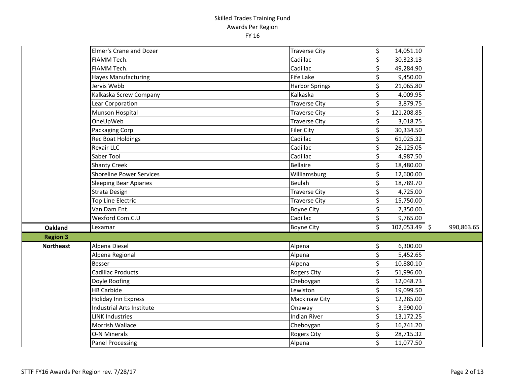|                  | <b>Elmer's Crane and Dozer</b>   | <b>Traverse City</b>  | \$<br>14,051.10       |            |
|------------------|----------------------------------|-----------------------|-----------------------|------------|
|                  | FIAMM Tech.                      | Cadillac              | \$<br>30,323.13       |            |
|                  | FIAMM Tech.                      | Cadillac              | \$<br>49,284.90       |            |
|                  | <b>Hayes Manufacturing</b>       | <b>Fife Lake</b>      | \$<br>9,450.00        |            |
|                  | Jervis Webb                      | <b>Harbor Springs</b> | \$<br>21,065.80       |            |
|                  | Kalkaska Screw Company           | Kalkaska              | \$<br>4,009.95        |            |
|                  | Lear Corporation                 | <b>Traverse City</b>  | \$<br>3,879.75        |            |
|                  | Munson Hospital                  | <b>Traverse City</b>  | \$<br>121,208.85      |            |
|                  | OneUpWeb                         | <b>Traverse City</b>  | \$<br>3,018.75        |            |
|                  | Packaging Corp                   | Filer City            | \$<br>30,334.50       |            |
|                  | <b>Rec Boat Holdings</b>         | Cadillac              | \$<br>61,025.32       |            |
|                  | <b>Rexair LLC</b>                | Cadillac              | \$<br>26,125.05       |            |
|                  | Saber Tool                       | Cadillac              | \$<br>4,987.50        |            |
|                  | <b>Shanty Creek</b>              | <b>Bellaire</b>       | \$<br>18,480.00       |            |
|                  | <b>Shoreline Power Services</b>  | Williamsburg          | \$<br>12,600.00       |            |
|                  | <b>Sleeping Bear Apiaries</b>    | Beulah                | \$<br>18,789.70       |            |
|                  | Strata Design                    | <b>Traverse City</b>  | \$<br>4,725.00        |            |
|                  | Top Line Electric                | <b>Traverse City</b>  | \$<br>15,750.00       |            |
|                  | Van Dam Ent.                     | <b>Boyne City</b>     | \$<br>7,350.00        |            |
|                  | Wexford Com.C.U                  | Cadillac              | \$<br>9,765.00        |            |
| <b>Oakland</b>   | Lexamar                          | <b>Boyne City</b>     | \$<br>$102,053.49$ \$ | 990,863.65 |
| <b>Region 3</b>  |                                  |                       |                       |            |
| <b>Northeast</b> | Alpena Diesel                    | Alpena                | \$<br>6,300.00        |            |
|                  | Alpena Regional                  | Alpena                | \$<br>5,452.65        |            |
|                  | <b>Besser</b>                    | Alpena                | \$<br>10,880.10       |            |
|                  | Cadillac Products                | <b>Rogers City</b>    | \$<br>51,996.00       |            |
|                  | Doyle Roofing                    | Cheboygan             | \$<br>12,048.73       |            |
|                  | <b>HB Carbide</b>                | Lewiston              | \$<br>19,099.50       |            |
|                  | Holiday Inn Express              | Mackinaw City         | \$<br>12,285.00       |            |
|                  | <b>Industrial Arts Institute</b> | Onaway                | \$<br>3,990.00        |            |
|                  | <b>LINK Industries</b>           | <b>Indian River</b>   | \$<br>13,172.25       |            |
|                  | Morrish Wallace                  | Cheboygan             | \$<br>16,741.20       |            |
|                  | <b>O-N Minerals</b>              | Rogers City           | \$<br>28,715.32       |            |
|                  | <b>Panel Processing</b>          | Alpena                | \$<br>11,077.50       |            |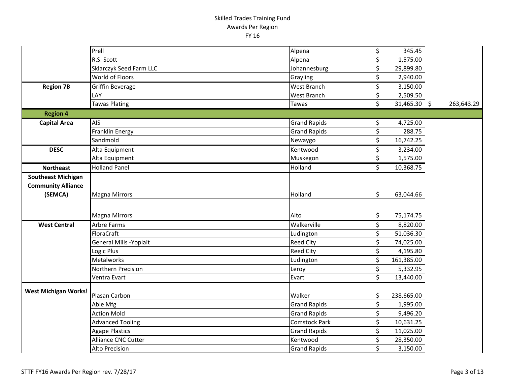|                             | Prell                          | Alpena               | \$                       | 345.45                    |            |
|-----------------------------|--------------------------------|----------------------|--------------------------|---------------------------|------------|
|                             | R.S. Scott                     | Alpena               | \$                       | 1,575.00                  |            |
|                             | <b>Sklarczyk Seed Farm LLC</b> | Johannesburg         | $\zeta$                  | 29,899.80                 |            |
|                             | World of Floors                | Grayling             | \$                       | 2,940.00                  |            |
| <b>Region 7B</b>            | Griffin Beverage               | <b>West Branch</b>   | \$                       | 3,150.00                  |            |
|                             | LAY                            | <b>West Branch</b>   | \$                       | 2,509.50                  |            |
|                             | <b>Tawas Plating</b>           | Tawas                | $\overline{\mathcal{S}}$ | $\overline{31,465.30}$ \$ | 263,643.29 |
| <b>Region 4</b>             |                                |                      |                          |                           |            |
| <b>Capital Area</b>         | <b>AIS</b>                     | <b>Grand Rapids</b>  | \$                       | 4,725.00                  |            |
|                             | Franklin Energy                | <b>Grand Rapids</b>  | \$                       | 288.75                    |            |
|                             | Sandmold                       | Newaygo              | \$                       | 16,742.25                 |            |
| <b>DESC</b>                 | Alta Equipment                 | Kentwood             | \$                       | 3,234.00                  |            |
|                             | Alta Equipment                 | Muskegon             | $\overline{\mathcal{S}}$ | 1,575.00                  |            |
| <b>Northeast</b>            | <b>Holland Panel</b>           | Holland              | $\overline{\mathcal{S}}$ | 10,368.75                 |            |
| <b>Southeast Michigan</b>   |                                |                      |                          |                           |            |
| <b>Community Alliance</b>   |                                |                      |                          |                           |            |
| (SEMCA)                     | <b>Magna Mirrors</b>           | Holland              | \$                       | 63,044.66                 |            |
|                             |                                |                      |                          |                           |            |
|                             | <b>Magna Mirrors</b>           | Alto                 | \$                       | 75,174.75                 |            |
| <b>West Central</b>         | Arbre Farms                    | Walkerville          | \$                       | 8,820.00                  |            |
|                             | FloraCraft                     | Ludington            | \$                       | 51,036.30                 |            |
|                             | General Mills - Yoplait        | <b>Reed City</b>     | $\zeta$                  | 74,025.00                 |            |
|                             | Logic Plus                     | <b>Reed City</b>     | $\overline{\mathcal{S}}$ | 4,195.80                  |            |
|                             | <b>Metalworks</b>              | Ludington            | \$                       | 161,385.00                |            |
|                             | Northern Precision             | Leroy                | $\zeta$                  | 5,332.95                  |            |
|                             | Ventra Evart                   | Evart                | $\overline{\mathcal{S}}$ | 13,440.00                 |            |
| <b>West Michigan Works!</b> |                                |                      |                          |                           |            |
|                             | Plasan Carbon                  | Walker               | \$                       | 238,665.00                |            |
|                             | Able Mfg                       | <b>Grand Rapids</b>  | \$                       | 1,995.00                  |            |
|                             | <b>Action Mold</b>             | <b>Grand Rapids</b>  | \$                       | 9,496.20                  |            |
|                             | <b>Advanced Tooling</b>        | <b>Comstock Park</b> | \$                       | 10,631.25                 |            |
|                             | <b>Agape Plastics</b>          | <b>Grand Rapids</b>  | $\zeta$                  | 11,025.00                 |            |
|                             | <b>Alliance CNC Cutter</b>     | Kentwood             | \$                       | 28,350.00                 |            |
|                             | Alto Precision                 | <b>Grand Rapids</b>  | \$                       | 3,150.00                  |            |
|                             |                                |                      |                          |                           |            |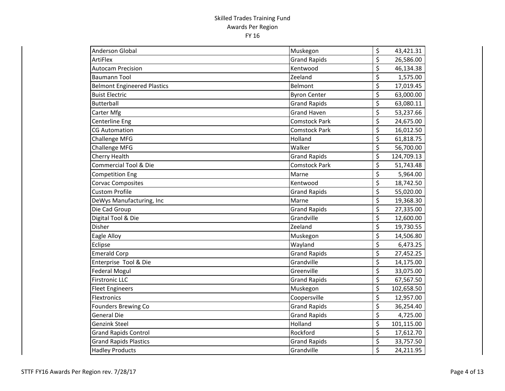| <b>Anderson Global</b>             | Muskegon             | \$<br>43,421.31                       |
|------------------------------------|----------------------|---------------------------------------|
| <b>ArtiFlex</b>                    | <b>Grand Rapids</b>  | \$<br>26,586.00                       |
| <b>Autocam Precision</b>           | Kentwood             | \$<br>46,134.38                       |
| <b>Baumann Tool</b>                | Zeeland              | \$<br>1,575.00                        |
| <b>Belmont Engineered Plastics</b> | Belmont              | \$<br>17,019.45                       |
| <b>Buist Electric</b>              | <b>Byron Center</b>  | \$<br>63,000.00                       |
| Butterball                         | <b>Grand Rapids</b>  | \$<br>63,080.11                       |
| Carter Mfg                         | <b>Grand Haven</b>   | \$<br>53,237.66                       |
| Centerline Eng                     | <b>Comstock Park</b> | \$<br>24,675.00                       |
| <b>CG Automation</b>               | Comstock Park        | \$<br>16,012.50                       |
| Challenge MFG                      | Holland              | \$<br>61,818.75                       |
| <b>Challenge MFG</b>               | Walker               | \$<br>56,700.00                       |
| Cherry Health                      | <b>Grand Rapids</b>  | \$<br>124,709.13                      |
| Commercial Tool & Die              | <b>Comstock Park</b> | \$<br>51,743.48                       |
| Competition Eng                    | Marne                | $\overline{\xi}$<br>5,964.00          |
| <b>Corvac Composites</b>           | Kentwood             | $\overline{\mathcal{L}}$<br>18,742.50 |
| <b>Custom Profile</b>              | <b>Grand Rapids</b>  | \$<br>55,020.00                       |
| DeWys Manufacturing, Inc           | Marne                | \$<br>19,368.30                       |
| Die Cad Group                      | <b>Grand Rapids</b>  | \$<br>27,335.00                       |
| Digital Tool & Die                 | Grandville           | \$<br>12,600.00                       |
| Disher                             | Zeeland              | \$<br>19,730.55                       |
| Eagle Alloy                        | Muskegon             | \$<br>14,506.80                       |
| Eclipse                            | Wayland              | \$<br>6,473.25                        |
| <b>Emerald Corp</b>                | <b>Grand Rapids</b>  | \$<br>27,452.25                       |
| Enterprise Tool & Die              | Grandville           | \$<br>14,175.00                       |
| <b>Federal Mogul</b>               | Greenville           | \$<br>33,075.00                       |
| <b>Firstronic LLC</b>              | <b>Grand Rapids</b>  | \$<br>67,567.50                       |
| <b>Fleet Engineers</b>             | Muskegon             | \$<br>102,658.50                      |
| Flextronics                        | Coopersville         | \$<br>12,957.00                       |
| <b>Founders Brewing Co</b>         | <b>Grand Rapids</b>  | \$<br>36,254.40                       |
| <b>General Die</b>                 | <b>Grand Rapids</b>  | \$<br>4,725.00                        |
| <b>Genzink Steel</b>               | Holland              | \$<br>101,115.00                      |
| <b>Grand Rapids Control</b>        | Rockford             | \$<br>17,612.70                       |
| <b>Grand Rapids Plastics</b>       | <b>Grand Rapids</b>  | \$<br>33,757.50                       |
| <b>Hadley Products</b>             | Grandville           | \$<br>24,211.95                       |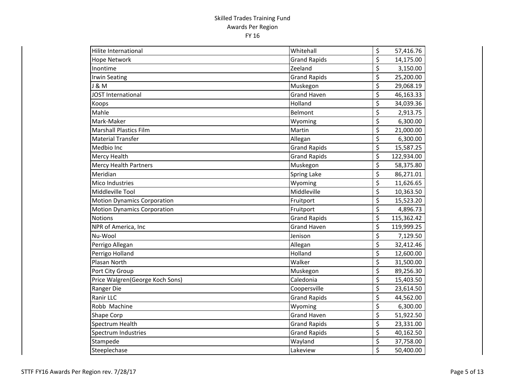| Hilite International               | Whitehall           | \$               | 57,416.76  |
|------------------------------------|---------------------|------------------|------------|
| <b>Hope Network</b>                | <b>Grand Rapids</b> | \$               | 14,175.00  |
| Inontime                           | Zeeland             | \$               | 3,150.00   |
| <b>Irwin Seating</b>               | <b>Grand Rapids</b> | \$               | 25,200.00  |
| <b>J &amp; M</b>                   | Muskegon            | \$               | 29,068.19  |
| <b>JOST International</b>          | <b>Grand Haven</b>  | \$               | 46,163.33  |
| Koops                              | Holland             | \$               | 34,039.36  |
| Mahle                              | Belmont             | \$               | 2,913.75   |
| Mark-Maker                         | Wyoming             | \$               | 6,300.00   |
| <b>Marshall Plastics Film</b>      | Martin              | \$               | 21,000.00  |
| <b>Material Transfer</b>           | Allegan             | \$               | 6,300.00   |
| Medbio Inc                         | <b>Grand Rapids</b> | \$               | 15,587.25  |
| Mercy Health                       | <b>Grand Rapids</b> | \$               | 122,934.00 |
| <b>Mercy Health Partners</b>       | Muskegon            | \$               | 58,375.80  |
| Meridian                           | <b>Spring Lake</b>  | \$               | 86,271.01  |
| Mico Industries                    | Wyoming             | \$               | 11,626.65  |
| Middleville Tool                   | Middleville         | $\overline{\xi}$ | 10,363.50  |
| <b>Motion Dynamics Corporation</b> | Fruitport           | \$               | 15,523.20  |
| <b>Motion Dynamics Corporation</b> | Fruitport           | \$               | 4,896.73   |
| Notions                            | <b>Grand Rapids</b> | \$               | 115,362.42 |
| NPR of America, Inc                | <b>Grand Haven</b>  | \$               | 119,999.25 |
| Nu-Wool                            | Jenison             | \$               | 7,129.50   |
| Perrigo Allegan                    | Allegan             | \$               | 32,412.46  |
| Perrigo Holland                    | Holland             | \$               | 12,600.00  |
| Plasan North                       | Walker              | \$               | 31,500.00  |
| Port City Group                    | Muskegon            | \$               | 89,256.30  |
| Price Walgren(George Koch Sons)    | Caledonia           | \$               | 15,403.50  |
| Ranger Die                         | Coopersville        | \$               | 23,614.50  |
| Ranir LLC                          | <b>Grand Rapids</b> | \$               | 44,562.00  |
| Robb Machine                       | Wyoming             | \$               | 6,300.00   |
| Shape Corp                         | <b>Grand Haven</b>  | \$               | 51,922.50  |
| Spectrum Health                    | <b>Grand Rapids</b> | \$               | 23,331.00  |
| Spectrum Industries                | <b>Grand Rapids</b> | \$               | 40,162.50  |
| Stampede                           | Wayland             | \$               | 37,758.00  |
| Steeplechase                       | Lakeview            | \$               | 50,400.00  |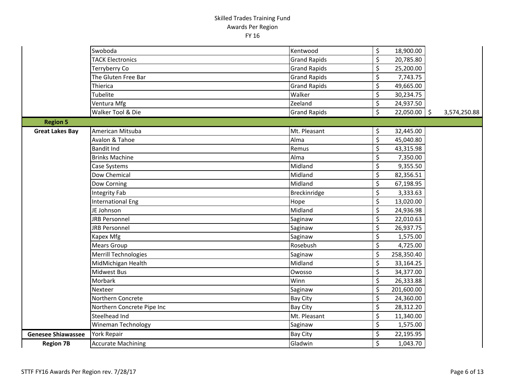|                           | Swoboda                    | Kentwood            | \$<br>18,900.00      |              |
|---------------------------|----------------------------|---------------------|----------------------|--------------|
|                           | <b>TACK Electronics</b>    | <b>Grand Rapids</b> | \$<br>20,785.80      |              |
|                           | Terryberry Co              | <b>Grand Rapids</b> | \$<br>25,200.00      |              |
|                           | The Gluten Free Bar        | <b>Grand Rapids</b> | \$<br>7,743.75       |              |
|                           | Thierica                   | <b>Grand Rapids</b> | \$<br>49,665.00      |              |
|                           | Tubelite                   | Walker              | \$<br>30,234.75      |              |
|                           | Ventura Mfg                | Zeeland             | \$<br>24,937.50      |              |
|                           | Walker Tool & Die          | <b>Grand Rapids</b> | \$<br>$22,050.00$ \$ | 3,574,250.88 |
| <b>Region 5</b>           |                            |                     |                      |              |
| <b>Great Lakes Bay</b>    | American Mitsuba           | Mt. Pleasant        | \$<br>32,445.00      |              |
|                           | Avalon & Tahoe             | Alma                | \$<br>45,040.80      |              |
|                           | <b>Bandit Ind</b>          | Remus               | \$<br>43,315.98      |              |
|                           | <b>Brinks Machine</b>      | Alma                | \$<br>7,350.00       |              |
|                           | Case Systems               | Midland             | \$<br>9,355.50       |              |
|                           | Dow Chemical               | Midland             | \$<br>82,356.51      |              |
|                           | Dow Corning                | Midland             | \$<br>67,198.95      |              |
|                           | Integrity Fab              | Breckinridge        | \$<br>3,333.63       |              |
|                           | <b>International Eng</b>   | Hope                | \$<br>13,020.00      |              |
|                           | JE Johnson                 | Midland             | \$<br>24,936.98      |              |
|                           | <b>JRB Personnel</b>       | Saginaw             | \$<br>22,010.63      |              |
|                           | <b>JRB Personnel</b>       | Saginaw             | \$<br>26,937.75      |              |
|                           | Kapex Mfg                  | Saginaw             | \$<br>1,575.00       |              |
|                           | <b>Mears Group</b>         | Rosebush            | \$<br>4,725.00       |              |
|                           | Merrill Technologies       | Saginaw             | \$<br>258,350.40     |              |
|                           | MidMichigan Health         | Midland             | \$<br>33,164.25      |              |
|                           | <b>Midwest Bus</b>         | Owosso              | \$<br>34,377.00      |              |
|                           | Morbark                    | Winn                | \$<br>26,333.88      |              |
|                           | Nexteer                    | Saginaw             | \$<br>201,600.00     |              |
|                           | Northern Concrete          | Bay City            | \$<br>24,360.00      |              |
|                           | Northern Concrete Pipe Inc | <b>Bay City</b>     | \$<br>28,312.20      |              |
|                           | Steelhead Ind              | Mt. Pleasant        | \$<br>11,340.00      |              |
|                           | Wineman Technology         | Saginaw             | \$<br>1,575.00       |              |
| <b>Genesee Shiawassee</b> | <b>York Repair</b>         | <b>Bay City</b>     | \$<br>22,195.95      |              |
| <b>Region 7B</b>          | <b>Accurate Machining</b>  | Gladwin             | \$<br>1,043.70       |              |
|                           |                            |                     |                      |              |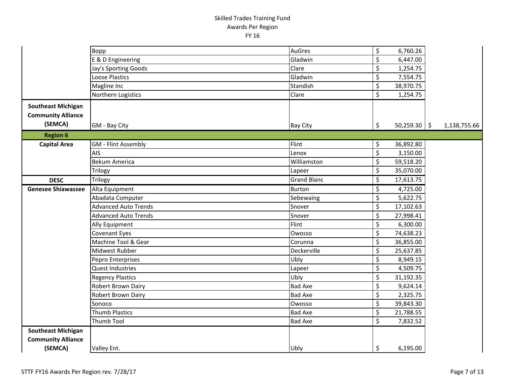| \$<br>Gladwin<br>6,447.00<br>E & D Engineering<br>\$<br>Clare<br>Jay's Sporting Goods<br>1,254.75<br>\$<br>Gladwin<br>7,554.75<br>Loose Plastics<br>\$<br>Magline Inc<br>Standish<br>38,970.75<br>\$<br>Clare<br>Northern Logistics<br>1,254.75<br><b>Southeast Michigan</b><br><b>Community Alliance</b><br>(SEMCA)<br>\$<br>$50,259.30$ \$<br>GM - Bay City<br>1,138,755.66<br><b>Bay City</b><br><b>Region 6</b><br>Flint<br>\$<br><b>GM</b> - Flint Assembly<br>36,892.80<br><b>Capital Area</b><br>\$<br>AIS<br>Lenox<br>3,150.00<br>\$<br>Williamston<br>59,518.20<br><b>Bekum America</b><br>$\overline{\xi}$<br>35,070.00<br>Trilogy<br>Lapeer<br>$\overline{\xi}$<br><b>Grand Blanc</b><br>17,613.75<br>Trilogy<br><b>DESC</b><br>\$<br>Burton<br>4,725.00<br><b>Genesee Shiawassee</b><br>Alta Equipment<br>\$<br>5,622.75<br>Abadata Computer<br>Sebewaing<br>\$<br><b>Advanced Auto Trends</b><br>Snover<br>17,102.63<br>\$<br><b>Advanced Auto Trends</b><br>27,998.41<br>Snover<br>\$<br>Ally Equipment<br>Flint<br>6,300.00<br>\$<br>74,638.23<br>Covenant Eyes<br>Owosso<br>\$<br>Machine Tool & Gear<br>Corunna<br>36,855.00<br>\$<br>Midwest Rubber<br>Deckerville<br>25,637.85<br>\$<br>Ubly<br>Pepro Enterprises<br>8,949.15<br>\$<br>4,509.75<br><b>Quest Industries</b><br>Lapeer<br>\$<br>Ubly<br>31,192.35<br><b>Regency Plastics</b><br>\$<br><b>Bad Axe</b><br>Robert Brown Dairy<br>9,624.14<br>\$<br><b>Bad Axe</b><br>2,325.75<br><b>Robert Brown Dairy</b><br>\$<br>Owosso<br>39,843.30<br>Sonoco<br>\$<br><b>Thumb Plastics</b><br><b>Bad Axe</b><br>21,788.55<br>\$<br><b>Thumb Tool</b><br><b>Bad Axe</b><br>7,832.52<br><b>Southeast Michigan</b><br><b>Community Alliance</b><br>\$<br>(SEMCA)<br>Ubly<br>6,195.00<br>Valley Ent. | Bopp | AuGres | \$<br>6,760.26 |  |
|----------------------------------------------------------------------------------------------------------------------------------------------------------------------------------------------------------------------------------------------------------------------------------------------------------------------------------------------------------------------------------------------------------------------------------------------------------------------------------------------------------------------------------------------------------------------------------------------------------------------------------------------------------------------------------------------------------------------------------------------------------------------------------------------------------------------------------------------------------------------------------------------------------------------------------------------------------------------------------------------------------------------------------------------------------------------------------------------------------------------------------------------------------------------------------------------------------------------------------------------------------------------------------------------------------------------------------------------------------------------------------------------------------------------------------------------------------------------------------------------------------------------------------------------------------------------------------------------------------------------------------------------------------------------------------------------------------------------------------------------------------------------|------|--------|----------------|--|
|                                                                                                                                                                                                                                                                                                                                                                                                                                                                                                                                                                                                                                                                                                                                                                                                                                                                                                                                                                                                                                                                                                                                                                                                                                                                                                                                                                                                                                                                                                                                                                                                                                                                                                                                                                      |      |        |                |  |
|                                                                                                                                                                                                                                                                                                                                                                                                                                                                                                                                                                                                                                                                                                                                                                                                                                                                                                                                                                                                                                                                                                                                                                                                                                                                                                                                                                                                                                                                                                                                                                                                                                                                                                                                                                      |      |        |                |  |
|                                                                                                                                                                                                                                                                                                                                                                                                                                                                                                                                                                                                                                                                                                                                                                                                                                                                                                                                                                                                                                                                                                                                                                                                                                                                                                                                                                                                                                                                                                                                                                                                                                                                                                                                                                      |      |        |                |  |
|                                                                                                                                                                                                                                                                                                                                                                                                                                                                                                                                                                                                                                                                                                                                                                                                                                                                                                                                                                                                                                                                                                                                                                                                                                                                                                                                                                                                                                                                                                                                                                                                                                                                                                                                                                      |      |        |                |  |
|                                                                                                                                                                                                                                                                                                                                                                                                                                                                                                                                                                                                                                                                                                                                                                                                                                                                                                                                                                                                                                                                                                                                                                                                                                                                                                                                                                                                                                                                                                                                                                                                                                                                                                                                                                      |      |        |                |  |
|                                                                                                                                                                                                                                                                                                                                                                                                                                                                                                                                                                                                                                                                                                                                                                                                                                                                                                                                                                                                                                                                                                                                                                                                                                                                                                                                                                                                                                                                                                                                                                                                                                                                                                                                                                      |      |        |                |  |
|                                                                                                                                                                                                                                                                                                                                                                                                                                                                                                                                                                                                                                                                                                                                                                                                                                                                                                                                                                                                                                                                                                                                                                                                                                                                                                                                                                                                                                                                                                                                                                                                                                                                                                                                                                      |      |        |                |  |
|                                                                                                                                                                                                                                                                                                                                                                                                                                                                                                                                                                                                                                                                                                                                                                                                                                                                                                                                                                                                                                                                                                                                                                                                                                                                                                                                                                                                                                                                                                                                                                                                                                                                                                                                                                      |      |        |                |  |
|                                                                                                                                                                                                                                                                                                                                                                                                                                                                                                                                                                                                                                                                                                                                                                                                                                                                                                                                                                                                                                                                                                                                                                                                                                                                                                                                                                                                                                                                                                                                                                                                                                                                                                                                                                      |      |        |                |  |
|                                                                                                                                                                                                                                                                                                                                                                                                                                                                                                                                                                                                                                                                                                                                                                                                                                                                                                                                                                                                                                                                                                                                                                                                                                                                                                                                                                                                                                                                                                                                                                                                                                                                                                                                                                      |      |        |                |  |
|                                                                                                                                                                                                                                                                                                                                                                                                                                                                                                                                                                                                                                                                                                                                                                                                                                                                                                                                                                                                                                                                                                                                                                                                                                                                                                                                                                                                                                                                                                                                                                                                                                                                                                                                                                      |      |        |                |  |
|                                                                                                                                                                                                                                                                                                                                                                                                                                                                                                                                                                                                                                                                                                                                                                                                                                                                                                                                                                                                                                                                                                                                                                                                                                                                                                                                                                                                                                                                                                                                                                                                                                                                                                                                                                      |      |        |                |  |
|                                                                                                                                                                                                                                                                                                                                                                                                                                                                                                                                                                                                                                                                                                                                                                                                                                                                                                                                                                                                                                                                                                                                                                                                                                                                                                                                                                                                                                                                                                                                                                                                                                                                                                                                                                      |      |        |                |  |
|                                                                                                                                                                                                                                                                                                                                                                                                                                                                                                                                                                                                                                                                                                                                                                                                                                                                                                                                                                                                                                                                                                                                                                                                                                                                                                                                                                                                                                                                                                                                                                                                                                                                                                                                                                      |      |        |                |  |
|                                                                                                                                                                                                                                                                                                                                                                                                                                                                                                                                                                                                                                                                                                                                                                                                                                                                                                                                                                                                                                                                                                                                                                                                                                                                                                                                                                                                                                                                                                                                                                                                                                                                                                                                                                      |      |        |                |  |
|                                                                                                                                                                                                                                                                                                                                                                                                                                                                                                                                                                                                                                                                                                                                                                                                                                                                                                                                                                                                                                                                                                                                                                                                                                                                                                                                                                                                                                                                                                                                                                                                                                                                                                                                                                      |      |        |                |  |
|                                                                                                                                                                                                                                                                                                                                                                                                                                                                                                                                                                                                                                                                                                                                                                                                                                                                                                                                                                                                                                                                                                                                                                                                                                                                                                                                                                                                                                                                                                                                                                                                                                                                                                                                                                      |      |        |                |  |
|                                                                                                                                                                                                                                                                                                                                                                                                                                                                                                                                                                                                                                                                                                                                                                                                                                                                                                                                                                                                                                                                                                                                                                                                                                                                                                                                                                                                                                                                                                                                                                                                                                                                                                                                                                      |      |        |                |  |
|                                                                                                                                                                                                                                                                                                                                                                                                                                                                                                                                                                                                                                                                                                                                                                                                                                                                                                                                                                                                                                                                                                                                                                                                                                                                                                                                                                                                                                                                                                                                                                                                                                                                                                                                                                      |      |        |                |  |
|                                                                                                                                                                                                                                                                                                                                                                                                                                                                                                                                                                                                                                                                                                                                                                                                                                                                                                                                                                                                                                                                                                                                                                                                                                                                                                                                                                                                                                                                                                                                                                                                                                                                                                                                                                      |      |        |                |  |
|                                                                                                                                                                                                                                                                                                                                                                                                                                                                                                                                                                                                                                                                                                                                                                                                                                                                                                                                                                                                                                                                                                                                                                                                                                                                                                                                                                                                                                                                                                                                                                                                                                                                                                                                                                      |      |        |                |  |
|                                                                                                                                                                                                                                                                                                                                                                                                                                                                                                                                                                                                                                                                                                                                                                                                                                                                                                                                                                                                                                                                                                                                                                                                                                                                                                                                                                                                                                                                                                                                                                                                                                                                                                                                                                      |      |        |                |  |
|                                                                                                                                                                                                                                                                                                                                                                                                                                                                                                                                                                                                                                                                                                                                                                                                                                                                                                                                                                                                                                                                                                                                                                                                                                                                                                                                                                                                                                                                                                                                                                                                                                                                                                                                                                      |      |        |                |  |
|                                                                                                                                                                                                                                                                                                                                                                                                                                                                                                                                                                                                                                                                                                                                                                                                                                                                                                                                                                                                                                                                                                                                                                                                                                                                                                                                                                                                                                                                                                                                                                                                                                                                                                                                                                      |      |        |                |  |
|                                                                                                                                                                                                                                                                                                                                                                                                                                                                                                                                                                                                                                                                                                                                                                                                                                                                                                                                                                                                                                                                                                                                                                                                                                                                                                                                                                                                                                                                                                                                                                                                                                                                                                                                                                      |      |        |                |  |
|                                                                                                                                                                                                                                                                                                                                                                                                                                                                                                                                                                                                                                                                                                                                                                                                                                                                                                                                                                                                                                                                                                                                                                                                                                                                                                                                                                                                                                                                                                                                                                                                                                                                                                                                                                      |      |        |                |  |
|                                                                                                                                                                                                                                                                                                                                                                                                                                                                                                                                                                                                                                                                                                                                                                                                                                                                                                                                                                                                                                                                                                                                                                                                                                                                                                                                                                                                                                                                                                                                                                                                                                                                                                                                                                      |      |        |                |  |
|                                                                                                                                                                                                                                                                                                                                                                                                                                                                                                                                                                                                                                                                                                                                                                                                                                                                                                                                                                                                                                                                                                                                                                                                                                                                                                                                                                                                                                                                                                                                                                                                                                                                                                                                                                      |      |        |                |  |
|                                                                                                                                                                                                                                                                                                                                                                                                                                                                                                                                                                                                                                                                                                                                                                                                                                                                                                                                                                                                                                                                                                                                                                                                                                                                                                                                                                                                                                                                                                                                                                                                                                                                                                                                                                      |      |        |                |  |
|                                                                                                                                                                                                                                                                                                                                                                                                                                                                                                                                                                                                                                                                                                                                                                                                                                                                                                                                                                                                                                                                                                                                                                                                                                                                                                                                                                                                                                                                                                                                                                                                                                                                                                                                                                      |      |        |                |  |
|                                                                                                                                                                                                                                                                                                                                                                                                                                                                                                                                                                                                                                                                                                                                                                                                                                                                                                                                                                                                                                                                                                                                                                                                                                                                                                                                                                                                                                                                                                                                                                                                                                                                                                                                                                      |      |        |                |  |
|                                                                                                                                                                                                                                                                                                                                                                                                                                                                                                                                                                                                                                                                                                                                                                                                                                                                                                                                                                                                                                                                                                                                                                                                                                                                                                                                                                                                                                                                                                                                                                                                                                                                                                                                                                      |      |        |                |  |
|                                                                                                                                                                                                                                                                                                                                                                                                                                                                                                                                                                                                                                                                                                                                                                                                                                                                                                                                                                                                                                                                                                                                                                                                                                                                                                                                                                                                                                                                                                                                                                                                                                                                                                                                                                      |      |        |                |  |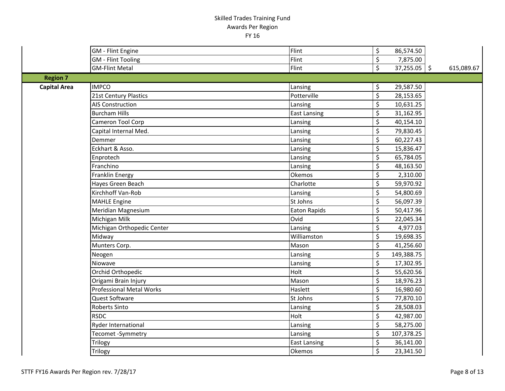|                     | <b>GM</b> - Flint Engine        | Flint               | $\boldsymbol{\mathsf{S}}$      | 86,574.50      |            |
|---------------------|---------------------------------|---------------------|--------------------------------|----------------|------------|
|                     | <b>GM</b> - Flint Tooling       | Flint               | $\boldsymbol{\zeta}$           | 7,875.00       |            |
|                     | <b>GM-Flint Metal</b>           | Flint               | $\overline{\mathcal{S}}$       | $37,255.05$ \$ | 615,089.67 |
| <b>Region 7</b>     |                                 |                     |                                |                |            |
| <b>Capital Area</b> | <b>IMPCO</b>                    | Lansing             | \$                             | 29,587.50      |            |
|                     | 21st Century Plastics           | Potterville         | $\overline{\mathcal{S}}$       | 28,153.65      |            |
|                     | <b>AIS Construction</b>         | Lansing             | \$                             | 10,631.25      |            |
|                     | <b>Burcham Hills</b>            | <b>East Lansing</b> | \$                             | 31,162.95      |            |
|                     | Cameron Tool Corp               | Lansing             | $\overline{\mathcal{S}}$       | 40,154.10      |            |
|                     | Capital Internal Med.           | Lansing             | $\overline{\mathcal{S}}$       | 79,830.45      |            |
|                     | Demmer                          | Lansing             | \$                             | 60,227.43      |            |
|                     | Eckhart & Asso.                 | Lansing             | $\overline{\mathcal{S}}$       | 15,836.47      |            |
|                     | Enprotech                       | Lansing             | \$                             | 65,784.05      |            |
|                     | Franchino                       | Lansing             | $\boldsymbol{\dot{\varsigma}}$ | 48,163.50      |            |
|                     | Franklin Energy                 | Okemos              | \$                             | 2,310.00       |            |
|                     | Hayes Green Beach               | Charlotte           | \$                             | 59,970.92      |            |
|                     | Kirchhoff Van-Rob               | Lansing             | $\zeta$                        | 54,800.69      |            |
|                     | <b>MAHLE Engine</b>             | St Johns            | \$                             | 56,097.39      |            |
|                     | Meridian Magnesium              | Eaton Rapids        | \$                             | 50,417.96      |            |
|                     | Michigan Milk                   | Ovid                | $\overline{\mathcal{S}}$       | 22,045.34      |            |
|                     | Michigan Orthopedic Center      | Lansing             | \$                             | 4,977.03       |            |
|                     | Midway                          | Williamston         | $\overline{\mathcal{S}}$       | 19,698.35      |            |
|                     | Munters Corp.                   | Mason               | \$                             | 41,256.60      |            |
|                     | Neogen                          | Lansing             | \$                             | 149,388.75     |            |
|                     | Niowave                         | Lansing             | $\overline{\mathcal{S}}$       | 17,302.95      |            |
|                     | Orchid Orthopedic               | Holt                | $\overline{\mathcal{S}}$       | 55,620.56      |            |
|                     | Origami Brain Injury            | Mason               | $\overline{\mathcal{S}}$       | 18,976.23      |            |
|                     | <b>Professional Metal Works</b> | Haslett             | \$                             | 16,980.60      |            |
|                     | Quest Software                  | St Johns            | \$                             | 77,870.10      |            |
|                     | Roberts Sinto                   | Lansing             | \$                             | 28,508.03      |            |
|                     | <b>RSDC</b>                     | Holt                | \$                             | 42,987.00      |            |
|                     | Ryder International             | Lansing             | \$                             | 58,275.00      |            |
|                     | Tecomet-Symmetry                | Lansing             | $\zeta$                        | 107,378.25     |            |
|                     | Trilogy                         | <b>East Lansing</b> | \$                             | 36,141.00      |            |
|                     | Trilogy                         | <b>Okemos</b>       | \$                             | 23,341.50      |            |
|                     |                                 |                     |                                |                |            |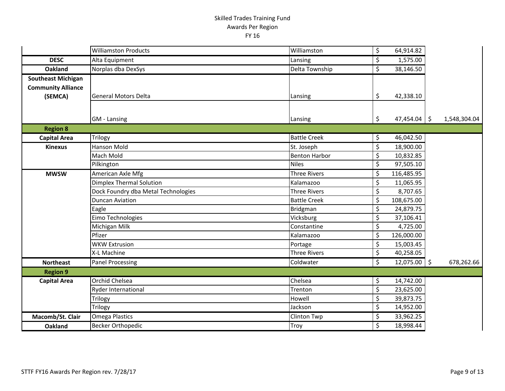|                           | <b>Williamston Products</b>         | Williamston          | \$                       | 64,914.82      |              |  |
|---------------------------|-------------------------------------|----------------------|--------------------------|----------------|--------------|--|
| <b>DESC</b>               | Alta Equipment                      | Lansing              | \$                       | 1,575.00       |              |  |
| <b>Oakland</b>            | Norplas dba DexSys                  | Delta Township       | \$                       | 38,146.50      |              |  |
| <b>Southeast Michigan</b> |                                     |                      |                          |                |              |  |
| <b>Community Alliance</b> |                                     |                      |                          |                |              |  |
| (SEMCA)                   | <b>General Motors Delta</b>         | Lansing              | \$                       | 42,338.10      |              |  |
|                           |                                     |                      |                          |                |              |  |
|                           | <b>GM</b> - Lansing                 | Lansing              | \$                       | $47,454.04$ \$ | 1,548,304.04 |  |
| <b>Region 8</b>           |                                     |                      |                          |                |              |  |
| <b>Capital Area</b>       | Trilogy                             | <b>Battle Creek</b>  | \$                       | 46,042.50      |              |  |
| <b>Kinexus</b>            | <b>Hanson Mold</b>                  | St. Joseph           | \$                       | 18,900.00      |              |  |
|                           | Mach Mold                           | <b>Benton Harbor</b> | \$                       | 10,832.85      |              |  |
|                           | Pilkington                          | <b>Niles</b>         | \$                       | 97,505.10      |              |  |
| <b>MWSW</b>               | American Axle Mfg                   | <b>Three Rivers</b>  | \$                       | 116,485.95     |              |  |
|                           | Dimplex Thermal Solution            | Kalamazoo            | \$                       | 11,065.95      |              |  |
|                           | Dock Foundry dba Metal Technologies | <b>Three Rivers</b>  | \$                       | 8,707.65       |              |  |
|                           | <b>Duncan Aviation</b>              | <b>Battle Creek</b>  | \$                       | 108,675.00     |              |  |
|                           | Eagle                               | <b>Bridgman</b>      | \$                       | 24,879.75      |              |  |
|                           | Eimo Technologies                   | Vicksburg            | \$                       | 37,106.41      |              |  |
|                           | Michigan Milk                       | Constantine          | \$                       | 4,725.00       |              |  |
|                           | Pfizer                              | Kalamazoo            | \$                       | 126,000.00     |              |  |
|                           | <b>WKW Extrusion</b>                | Portage              | $\overline{\xi}$         | 15,003.45      |              |  |
|                           | X-L Machine                         | <b>Three Rivers</b>  | \$                       | 40,258.05      |              |  |
| <b>Northeast</b>          | <b>Panel Processing</b>             | Coldwater            | $\overline{\mathcal{S}}$ | $12,075.00$ \$ | 678,262.66   |  |
| <b>Region 9</b>           |                                     |                      |                          |                |              |  |
| <b>Capital Area</b>       | <b>Orchid Chelsea</b>               | Chelsea              | \$                       | 14,742.00      |              |  |
|                           | <b>Ryder International</b>          | Trenton              | \$                       | 23,625.00      |              |  |
|                           | Trilogy                             | Howell               | \$                       | 39,873.75      |              |  |
|                           | <b>Trilogy</b>                      | Jackson              | \$                       | 14,952.00      |              |  |
| Macomb/St. Clair          | <b>Omega Plastics</b>               | <b>Clinton Twp</b>   | \$                       | 33,962.25      |              |  |
| Oakland                   | <b>Becker Orthopedic</b>            | Troy                 | \$                       | 18,998.44      |              |  |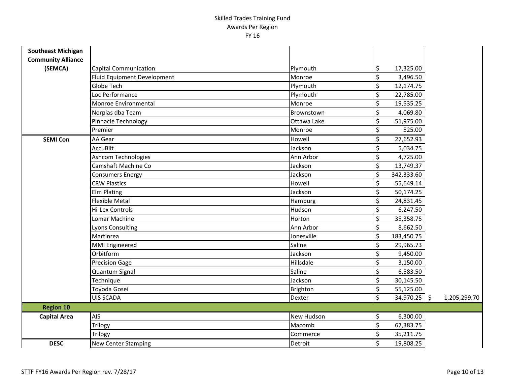| <b>Southeast Michigan</b> |                             |             |                          |              |              |
|---------------------------|-----------------------------|-------------|--------------------------|--------------|--------------|
| <b>Community Alliance</b> |                             |             |                          |              |              |
| (SEMCA)                   | Capital Communication       | Plymouth    | \$                       | 17,325.00    |              |
|                           | Fluid Equipment Development | Monroe      | $\zeta$                  | 3,496.50     |              |
|                           | Globe Tech                  | Plymouth    | \$                       | 12,174.75    |              |
|                           | Loc Performance             | Plymouth    | \$                       | 22,785.00    |              |
|                           | Monroe Environmental        | Monroe      | $\overline{\mathcal{S}}$ | 19,535.25    |              |
|                           | Norplas dba Team            | Brownstown  | $\overline{\xi}$         | 4,069.80     |              |
|                           | Pinnacle Technology         | Ottawa Lake | \$                       | 51,975.00    |              |
|                           | Premier                     | Monroe      | $\overline{\mathcal{S}}$ | 525.00       |              |
| <b>SEMI Con</b>           | AA Gear                     | Howell      | \$                       | 27,652.93    |              |
|                           | <b>AccuBilt</b>             | Jackson     | $\zeta$                  | 5,034.75     |              |
|                           | <b>Ashcom Technologies</b>  | Ann Arbor   | \$                       | 4,725.00     |              |
|                           | Camshaft Machine Co         | Jackson     | $\zeta$                  | 13,749.37    |              |
|                           | <b>Consumers Energy</b>     | Jackson     | \$                       | 342,333.60   |              |
|                           | <b>CRW Plastics</b>         | Howell      | \$                       | 55,649.14    |              |
|                           | <b>Elm Plating</b>          | Jackson     | $\zeta$                  | 50,174.25    |              |
|                           | <b>Flexible Metal</b>       | Hamburg     | \$                       | 24,831.45    |              |
|                           | <b>Hi-Lex Controls</b>      | Hudson      | \$                       | 6,247.50     |              |
|                           | Lomar Machine               | Horton      | \$                       | 35,358.75    |              |
|                           | <b>Lyons Consulting</b>     | Ann Arbor   | $\overline{\xi}$         | 8,662.50     |              |
|                           | Martinrea                   | Jonesville  | $\overline{\mathcal{S}}$ | 183,450.75   |              |
|                           | MMI Engineered              | Saline      | $\zeta$                  | 29,965.73    |              |
|                           | Orbitform                   | Jackson     | \$                       | 9,450.00     |              |
|                           | <b>Precision Gage</b>       | Hillsdale   | \$                       | 3,150.00     |              |
|                           | Quantum Signal              | Saline      | $\zeta$                  | 6,583.50     |              |
|                           | Technique                   | Jackson     | \$                       | 30,145.50    |              |
|                           | Toyoda Gosei                | Brighton    | \$                       | 55,125.00    |              |
|                           | <b>UIS SCADA</b>            | Dexter      | \$                       | 34,970.25 \$ | 1,205,299.70 |
| <b>Region 10</b>          |                             |             |                          |              |              |
| <b>Capital Area</b>       | AIS                         | New Hudson  | \$                       | 6,300.00     |              |
|                           | Trilogy                     | Macomb      | \$                       | 67,383.75    |              |
|                           | Trilogy                     | Commerce    | \$                       | 35,211.75    |              |
| <b>DESC</b>               | <b>New Center Stamping</b>  | Detroit     | \$                       | 19,808.25    |              |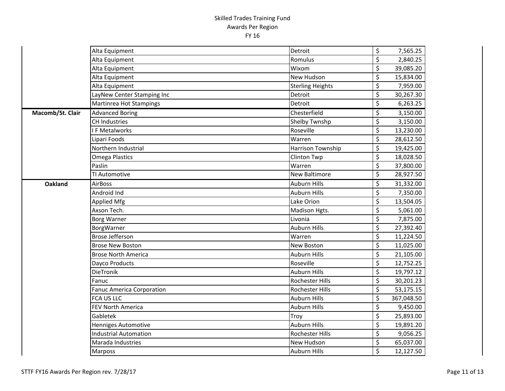|                  | Alta Equipment                   | Detroit                  | \$                              | 7,565.25   |
|------------------|----------------------------------|--------------------------|---------------------------------|------------|
|                  | Alta Equipment                   | Romulus                  | $\overline{\xi}$                | 2,840.25   |
|                  | Alta Equipment                   | Wixom                    | \$                              | 39,085.20  |
|                  | Alta Equipment                   | New Hudson               | \$                              | 15,834.00  |
|                  | Alta Equipment                   | <b>Sterling Heights</b>  | \$                              | 7,959.00   |
|                  | LayNew Center Stamping Inc       | Detroit                  | \$                              | 30,267.30  |
|                  | Martinrea Hot Stampings          | Detroit                  | \$                              | 6,263.25   |
| Macomb/St. Clair | <b>Advanced Boring</b>           | Chesterfield             | \$                              | 3,150.00   |
|                  | <b>CH Industries</b>             | <b>Shelby Twnshp</b>     | \$                              | 3,150.00   |
|                  | F Metalworks                     | Roseville                | $\overline{\boldsymbol{\zeta}}$ | 13,230.00  |
|                  | Lipari Foods                     | Warren                   | $\overline{\boldsymbol{\zeta}}$ | 28,612.50  |
|                  | Northern Industrial              | <b>Harrison Township</b> | \$                              | 19,425.00  |
|                  | <b>Omega Plastics</b>            | <b>Clinton Twp</b>       | \$                              | 18,028.50  |
|                  | Paslin                           | Warren                   | \$                              | 37,800.00  |
|                  | TI Automotive                    | New Baltimore            | $\overline{\boldsymbol{\zeta}}$ | 28,927.50  |
| Oakland          | <b>AirBoss</b>                   | <b>Auburn Hills</b>      | \$                              | 31,332.00  |
|                  | Android Ind                      | <b>Auburn Hills</b>      | \$                              | 7,350.00   |
|                  | <b>Applied Mfg</b>               | Lake Orion               | \$                              | 13,504.05  |
|                  | Axson Tech.                      | Madison Hgts.            | \$                              | 5,061.00   |
|                  | <b>Borg Warner</b>               | Livonia                  | \$                              | 7,875.00   |
|                  | BorgWarner                       | <b>Auburn Hills</b>      | \$                              | 27,392.40  |
|                  | <b>Brose Jefferson</b>           | Warren                   | $\overline{\xi}$                | 11,224.50  |
|                  | <b>Brose New Boston</b>          | New Boston               | \$                              | 11,025.00  |
|                  | <b>Brose North America</b>       | <b>Auburn Hills</b>      | \$                              | 21,105.00  |
|                  | Dayco Products                   | Roseville                | $\overline{\boldsymbol{\zeta}}$ | 12,752.25  |
|                  | DieTronik                        | <b>Auburn Hills</b>      | \$                              | 19,797.12  |
|                  | Fanuc                            | <b>Rochester Hills</b>   | $\overline{\xi}$                | 30,201.23  |
|                  | <b>Fanuc America Corporation</b> | Rochester Hills          | \$                              | 53,175.15  |
|                  | <b>FCA US LLC</b>                | <b>Auburn Hills</b>      | $\overline{\xi}$                | 367,048.50 |
|                  | FEV North America                | <b>Auburn Hills</b>      | $\overline{\xi}$                | 9,450.00   |
|                  | Gabletek                         | Troy                     | $\overline{\xi}$                | 25,893.00  |
|                  | Henniges Automotive              | <b>Auburn Hills</b>      | \$                              | 19,891.20  |
|                  | <b>Industrial Automation</b>     | Rochester Hills          | $\overline{\xi}$                | 9,056.25   |
|                  | Marada Industries                | New Hudson               | \$                              | 65,037.00  |
|                  | <b>Marposs</b>                   | <b>Auburn Hills</b>      | \$                              | 12,127.50  |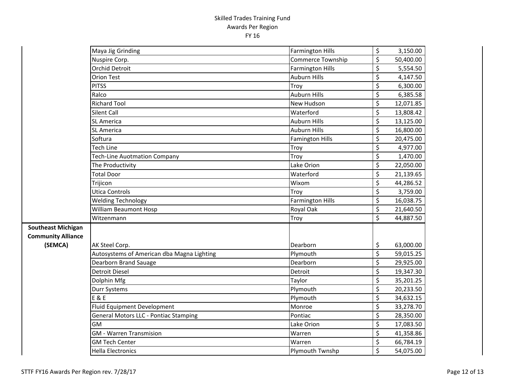|                           | Maya Jig Grinding                          | <b>Farmington Hills</b> | \$                              | 3,150.00  |
|---------------------------|--------------------------------------------|-------------------------|---------------------------------|-----------|
|                           | Nuspire Corp.                              | Commerce Township       | \$                              | 50,400.00 |
|                           | <b>Orchid Detroit</b>                      | <b>Farmington Hills</b> | \$                              | 5,554.50  |
|                           | <b>Orion Test</b>                          | <b>Auburn Hills</b>     | $\overline{\varsigma}$          | 4,147.50  |
|                           | <b>PITSS</b>                               | Troy                    | $\overline{\xi}$                | 6,300.00  |
|                           | Ralco                                      | <b>Auburn Hills</b>     | \$                              | 6,385.58  |
|                           | <b>Richard Tool</b>                        | New Hudson              | $\overline{\boldsymbol{\zeta}}$ | 12,071.85 |
|                           | Silent Call                                | Waterford               | $\overline{\varsigma}$          | 13,808.42 |
|                           | SL America                                 | <b>Auburn Hills</b>     | $\overline{\xi}$                | 13,125.00 |
|                           | <b>SL America</b>                          | <b>Auburn Hills</b>     | \$                              | 16,800.00 |
|                           | Softura                                    | <b>Famington Hills</b>  | $\overline{\boldsymbol{\zeta}}$ | 20,475.00 |
|                           | <b>Tech Line</b>                           | Troy                    | $\overline{\boldsymbol{\zeta}}$ | 4,977.00  |
|                           | <b>Tech-Line Auotmation Company</b>        | Troy                    | $\overline{\xi}$                | 1,470.00  |
|                           | The Productivity                           | Lake Orion              | \$                              | 22,050.00 |
|                           | <b>Total Door</b>                          | Waterford               | $\overline{\xi}$                | 21,139.65 |
|                           | Trijicon                                   | Wixom                   | $\overline{\xi}$                | 44,286.52 |
|                           | <b>Utica Controls</b>                      | Troy                    | $\overline{\varsigma}$          | 3,759.00  |
|                           | <b>Welding Technology</b>                  | <b>Farmington Hills</b> | $\overline{\varsigma}$          | 16,038.75 |
|                           | <b>William Beaumont Hosp</b>               | <b>Royal Oak</b>        | $\overline{\xi}$                | 21,640.50 |
|                           | Witzenmann                                 | Troy                    | $\overline{\mathsf{S}}$         | 44,887.50 |
| <b>Southeast Michigan</b> |                                            |                         |                                 |           |
| <b>Community Alliance</b> |                                            |                         |                                 |           |
| (SEMCA)                   | AK Steel Corp.                             | Dearborn                | \$                              | 63,000.00 |
|                           | Autosystems of American dba Magna Lighting | Plymouth                | $\overline{\varsigma}$          | 59,015.25 |
|                           | Dearborn Brand Sauage                      | Dearborn                | \$                              | 29,925.00 |
|                           | <b>Detroit Diesel</b>                      | Detroit                 | $\overline{\boldsymbol{\zeta}}$ | 19,347.30 |
|                           | Dolphin Mfg                                | Taylor                  | $\overline{\xi}$                | 35,201.25 |
|                           | Durr Systems                               | Plymouth                | $\overline{\boldsymbol{\zeta}}$ | 20,233.50 |
|                           | <b>E &amp; E</b>                           | Plymouth                | \$                              | 34,632.15 |
|                           | Fluid Equipment Development                | Monroe                  | \$                              | 33,278.70 |
|                           | General Motors LLC - Pontiac Stamping      | Pontiac                 | \$                              | 28,350.00 |
|                           | GM                                         | Lake Orion              | $\overline{\varsigma}$          | 17,083.50 |
|                           | <b>GM</b> - Warren Transmision             | Warren                  | $\overline{\xi}$                | 41,358.86 |
|                           | <b>GM Tech Center</b>                      | Warren                  | \$                              | 66,784.19 |
|                           | <b>Hella Electronics</b>                   | Plymouth Twnshp         | \$                              | 54,075.00 |